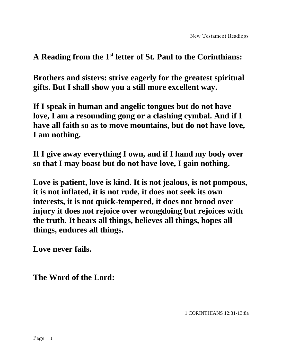**Brothers and sisters: strive eagerly for the greatest spiritual gifts. But I shall show you a still more excellent way.**

**If I speak in human and angelic tongues but do not have love, I am a resounding gong or a clashing cymbal. And if I have all faith so as to move mountains, but do not have love, I am nothing.**

**If I give away everything I own, and if I hand my body over so that I may boast but do not have love, I gain nothing.** 

**Love is patient, love is kind. It is not jealous, is not pompous, it is not inflated, it is not rude, it does not seek its own interests, it is not quick-tempered, it does not brood over injury it does not rejoice over wrongdoing but rejoices with the truth. It bears all things, believes all things, hopes all things, endures all things.** 

**Love never fails.** 

**The Word of the Lord:**

1 CORINTHIANS 12:31-13:8a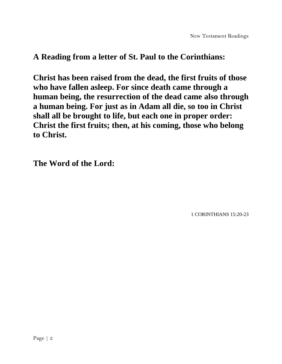**Christ has been raised from the dead, the first fruits of those who have fallen asleep. For since death came through a human being, the resurrection of the dead came also through a human being. For just as in Adam all die, so too in Christ shall all be brought to life, but each one in proper order: Christ the first fruits; then, at his coming, those who belong to Christ.** 

**The Word of the Lord:**

1 CORINTHIANS 15:20-23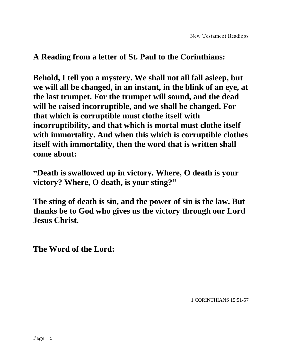**Behold, I tell you a mystery. We shall not all fall asleep, but we will all be changed, in an instant, in the blink of an eye, at the last trumpet. For the trumpet will sound, and the dead will be raised incorruptible, and we shall be changed. For that which is corruptible must clothe itself with incorruptibility, and that which is mortal must clothe itself with immortality. And when this which is corruptible clothes itself with immortality, then the word that is written shall come about:**

**"Death is swallowed up in victory. Where, O death is your victory? Where, O death, is your sting?"**

**The sting of death is sin, and the power of sin is the law. But thanks be to God who gives us the victory through our Lord Jesus Christ.**

**The Word of the Lord:**

1 CORINTHIANS 15:51-57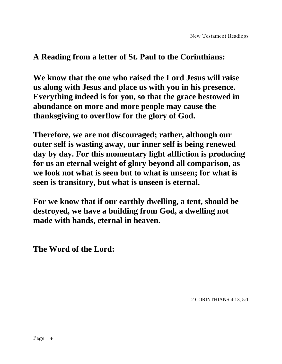**We know that the one who raised the Lord Jesus will raise us along with Jesus and place us with you in his presence. Everything indeed is for you, so that the grace bestowed in abundance on more and more people may cause the thanksgiving to overflow for the glory of God.** 

**Therefore, we are not discouraged; rather, although our outer self is wasting away, our inner self is being renewed day by day. For this momentary light affliction is producing for us an eternal weight of glory beyond all comparison, as we look not what is seen but to what is unseen; for what is seen is transitory, but what is unseen is eternal.**

**For we know that if our earthly dwelling, a tent, should be destroyed, we have a building from God, a dwelling not made with hands, eternal in heaven.** 

**The Word of the Lord:**

2 CORINTHIANS 4:13, 5:1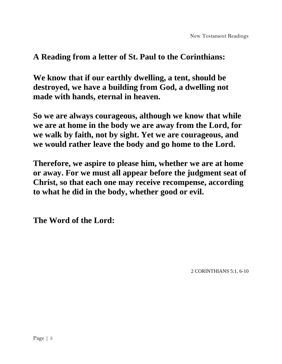**We know that if our earthly dwelling, a tent, should be destroyed, we have a building from God, a dwelling not made with hands, eternal in heaven.** 

**So we are always courageous, although we know that while we are at home in the body we are away from the Lord, for we walk by faith, not by sight. Yet we are courageous, and we would rather leave the body and go home to the Lord.** 

**Therefore, we aspire to please him, whether we are at home or away. For we must all appear before the judgment seat of Christ, so that each one may receive recompense, according to what he did in the body, whether good or evil.** 

**The Word of the Lord:**

2 CORINTHIANS 5:1, 6-10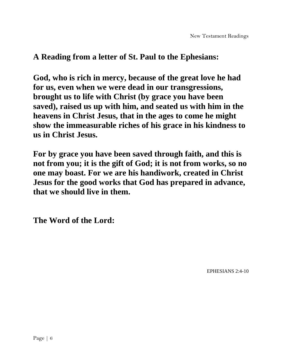**God, who is rich in mercy, because of the great love he had for us, even when we were dead in our transgressions, brought us to life with Christ (by grace you have been saved), raised us up with him, and seated us with him in the heavens in Christ Jesus, that in the ages to come he might show the immeasurable riches of his grace in his kindness to us in Christ Jesus.** 

**For by grace you have been saved through faith, and this is not from you; it is the gift of God; it is not from works, so no one may boast. For we are his handiwork, created in Christ Jesus for the good works that God has prepared in advance, that we should live in them.** 

**The Word of the Lord:**

EPHESIANS 2:4-10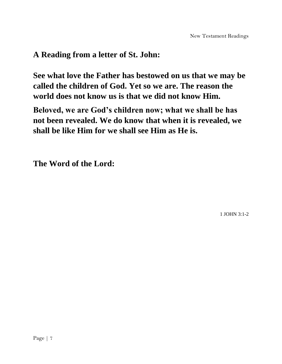# **A Reading from a letter of St. John:**

**See what love the Father has bestowed on us that we may be called the children of God. Yet so we are. The reason the world does not know us is that we did not know Him.** 

**Beloved, we are God's children now; what we shall be has not been revealed. We do know that when it is revealed, we shall be like Him for we shall see Him as He is.**

**The Word of the Lord:**

1 JOHN 3:1-2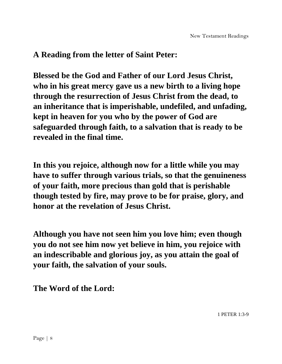# **A Reading from the letter of Saint Peter:**

**Blessed be the God and Father of our Lord Jesus Christ, who in his great mercy gave us a new birth to a living hope through the resurrection of Jesus Christ from the dead, to an inheritance that is imperishable, undefiled, and unfading, kept in heaven for you who by the power of God are safeguarded through faith, to a salvation that is ready to be revealed in the final time.**

**In this you rejoice, although now for a little while you may have to suffer through various trials, so that the genuineness of your faith, more precious than gold that is perishable though tested by fire, may prove to be for praise, glory, and honor at the revelation of Jesus Christ.** 

**Although you have not seen him you love him; even though you do not see him now yet believe in him, you rejoice with an indescribable and glorious joy, as you attain the goal of your faith, the salvation of your souls.** 

**The Word of the Lord:**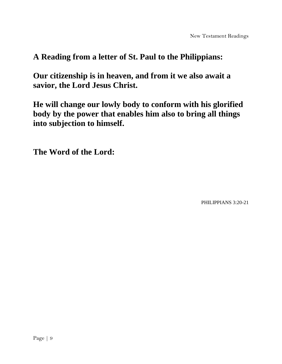# **A Reading from a letter of St. Paul to the Philippians:**

**Our citizenship is in heaven, and from it we also await a savior, the Lord Jesus Christ.** 

**He will change our lowly body to conform with his glorified body by the power that enables him also to bring all things into subjection to himself.**

**The Word of the Lord:**

PHILIPPIANS 3:20-21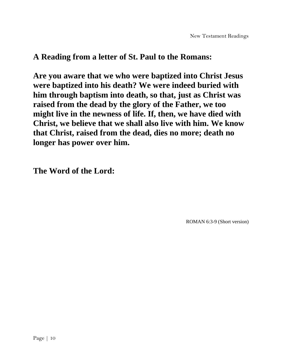**Are you aware that we who were baptized into Christ Jesus were baptized into his death? We were indeed buried with him through baptism into death, so that, just as Christ was raised from the dead by the glory of the Father, we too might live in the newness of life. If, then, we have died with Christ, we believe that we shall also live with him. We know that Christ, raised from the dead, dies no more; death no longer has power over him.** 

**The Word of the Lord:**

ROMAN 6:3-9 (Short version)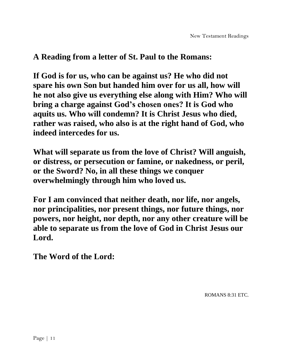**If God is for us, who can be against us? He who did not spare his own Son but handed him over for us all, how will he not also give us everything else along with Him? Who will bring a charge against God's chosen ones? It is God who aquits us. Who will condemn? It is Christ Jesus who died, rather was raised, who also is at the right hand of God, who indeed intercedes for us.** 

**What will separate us from the love of Christ? Will anguish, or distress, or persecution or famine, or nakedness, or peril, or the Sword? No, in all these things we conquer overwhelmingly through him who loved us.** 

**For I am convinced that neither death, nor life, nor angels, nor principalities, nor present things, nor future things, nor powers, nor height, nor depth, nor any other creature will be able to separate us from the love of God in Christ Jesus our Lord.**

**The Word of the Lord:**

ROMANS 8:31 ETC.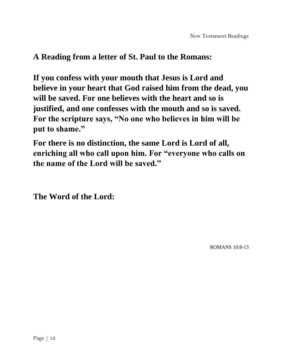**If you confess with your mouth that Jesus is Lord and believe in your heart that God raised him from the dead, you will be saved. For one believes with the heart and so is justified, and one confesses with the mouth and so is saved. For the scripture says, "No one who believes in him will be put to shame."**

**For there is no distinction, the same Lord is Lord of all, enriching all who call upon him. For "everyone who calls on the name of the Lord will be saved."**

**The Word of the Lord:**

ROMANS 10:8-13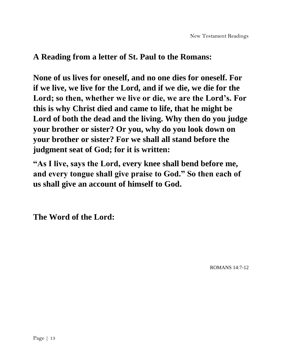**None of us lives for oneself, and no one dies for oneself. For if we live, we live for the Lord, and if we die, we die for the Lord; so then, whether we live or die, we are the Lord's. For this is why Christ died and came to life, that he might be Lord of both the dead and the living. Why then do you judge your brother or sister? Or you, why do you look down on your brother or sister? For we shall all stand before the judgment seat of God; for it is written:**

**"As I live, says the Lord, every knee shall bend before me, and every tongue shall give praise to God." So then each of us shall give an account of himself to God.** 

**The Word of the Lord:**

ROMANS 14:7-12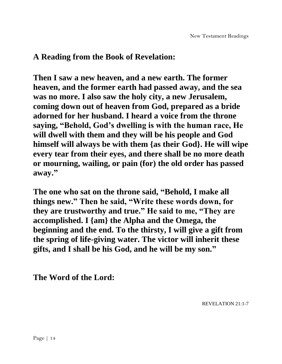## **A Reading from the Book of Revelation:**

**Then I saw a new heaven, and a new earth. The former heaven, and the former earth had passed away, and the sea was no more. I also saw the holy city, a new Jerusalem, coming down out of heaven from God, prepared as a bride adorned for her husband. I heard a voice from the throne saying, "Behold, God's dwelling is with the human race, He will dwell with them and they will be his people and God himself will always be with them {as their God}. He will wipe every tear from their eyes, and there shall be no more death or mourning, wailing, or pain (for) the old order has passed away."**

**The one who sat on the throne said, "Behold, I make all things new." Then he said, "Write these words down, for they are trustworthy and true." He said to me, "They are accomplished. I {am} the Alpha and the Omega, the beginning and the end. To the thirsty, I will give a gift from the spring of life-giving water. The victor will inherit these gifts, and I shall be his God, and he will be my son."**

**The Word of the Lord:**

REVELATION 21:1-7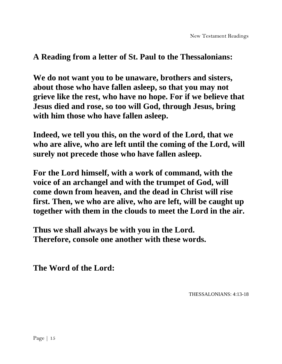#### **A Reading from a letter of St. Paul to the Thessalonians:**

**We do not want you to be unaware, brothers and sisters, about those who have fallen asleep, so that you may not grieve like the rest, who have no hope. For if we believe that Jesus died and rose, so too will God, through Jesus, bring with him those who have fallen asleep.**

**Indeed, we tell you this, on the word of the Lord, that we who are alive, who are left until the coming of the Lord, will surely not precede those who have fallen asleep.** 

**For the Lord himself, with a work of command, with the voice of an archangel and with the trumpet of God, will come down from heaven, and the dead in Christ will rise first. Then, we who are alive, who are left, will be caught up together with them in the clouds to meet the Lord in the air.**

**Thus we shall always be with you in the Lord. Therefore, console one another with these words.**

**The Word of the Lord:**

THESSALONIANS: 4:13-18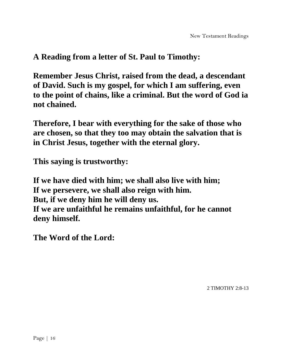## **A Reading from a letter of St. Paul to Timothy:**

**Remember Jesus Christ, raised from the dead, a descendant of David. Such is my gospel, for which I am suffering, even to the point of chains, like a criminal. But the word of God ia not chained.**

**Therefore, I bear with everything for the sake of those who are chosen, so that they too may obtain the salvation that is in Christ Jesus, together with the eternal glory.**

**This saying is trustworthy:**

**If we have died with him; we shall also live with him; If we persevere, we shall also reign with him. But, if we deny him he will deny us. If we are unfaithful he remains unfaithful, for he cannot deny himself.**

**The Word of the Lord:**

2 TIMOTHY 2:8-13